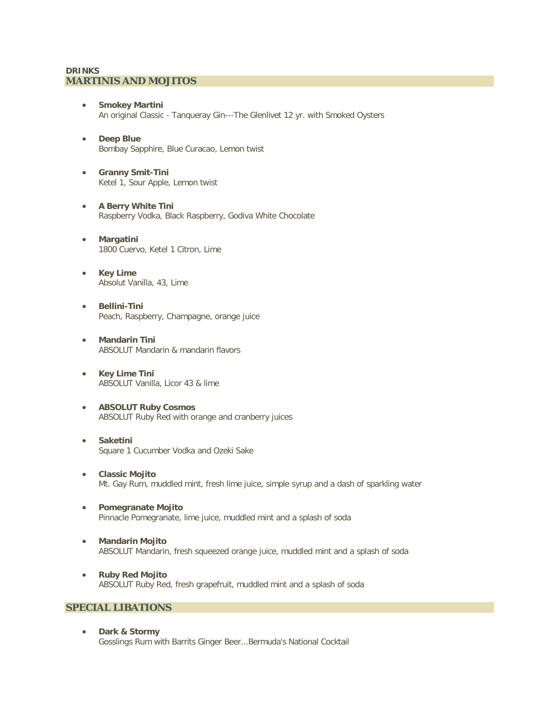#### **DRINKS MARTINIS AND MOJITOS**

- **Smokey Martini** An original Classic - Tanqueray Gin---The Glenlivet 12 yr. with Smoked Oysters
- **Deep Blue** Bombay Sapphire, Blue Curacao, Lemon twist
- **Granny Smit-Tini** Ketel 1, Sour Apple, Lemon twist
- **A Berry White Tini** Raspberry Vodka, Black Raspberry, Godiva White Chocolate
- **Margatini** 1800 Cuervo, Ketel 1 Citron, Lime
- **Key Lime** Absolut Vanilla, 43, Lime
- **Bellini-Tini** Peach, Raspberry, Champagne, orange juice
- **Mandarin Tini** ABSOLUT Mandarin & mandarin flavors
- **Key Lime Tini** ABSOLUT Vanilla, Licor 43 & lime
- **ABSOLUT Ruby Cosmos** ABSOLUT Ruby Red with orange and cranberry juices
- **Saketini** Square 1 Cucumber Vodka and Ozeki Sake
- **Classic Mojito** Mt. Gay Rum, muddled mint, fresh lime juice, simple syrup and a dash of sparkling water
- **Pomegranate Mojito** Pinnacle Pomegranate, lime juice, muddled mint and a splash of soda
- **Mandarin Mojito** ABSOLUT Mandarin, fresh squeezed orange juice, muddled mint and a splash of soda
- **Ruby Red Mojito** ABSOLUT Ruby Red, fresh grapefruit, muddled mint and a splash of soda

## **SPECIAL LIBATIONS**

• **Dark & Stormy** Gosslings Rum with Barrits Ginger Beer...Bermuda's National Cocktail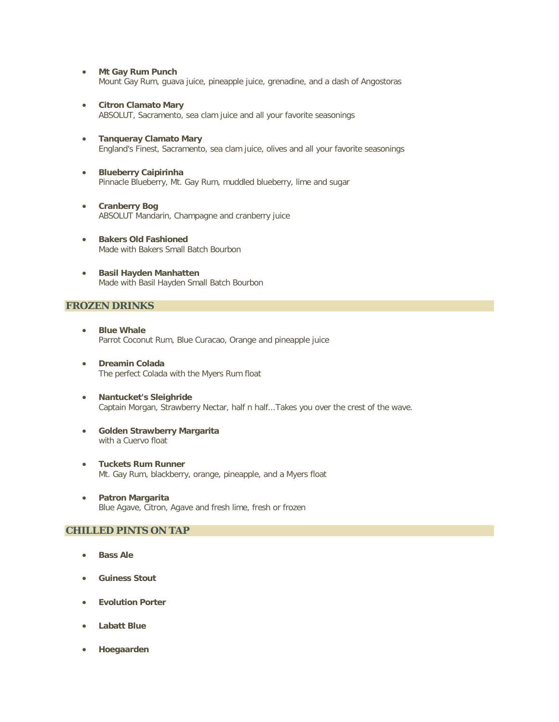- **Mt Gay Rum Punch** Mount Gay Rum, guava juice, pineapple juice, grenadine, and a dash of Angostoras
- **Citron Clamato Mary** ABSOLUT, Sacramento, sea clam juice and all your favorite seasonings
- **Tanqueray Clamato Mary** England's Finest, Sacramento, sea clam juice, olives and all your favorite seasonings
- **Blueberry Caipirinha** Pinnacle Blueberry, Mt. Gay Rum, muddled blueberry, lime and sugar
- **Cranberry Bog** ABSOLUT Mandarin, Champagne and cranberry juice
- **Bakers Old Fashioned** Made with Bakers Small Batch Bourbon
- **Basil Hayden Manhatten** Made with Basil Hayden Small Batch Bourbon

#### **FROZEN DRINKS**

- **Blue Whale** Parrot Coconut Rum, Blue Curacao, Orange and pineapple juice
- **Dreamin Colada** The perfect Colada with the Myers Rum float
- **Nantucket's Sleighride** Captain Morgan, Strawberry Nectar, half n half...Takes you over the crest of the wave.
- **Golden Strawberry Margarita** with a Cuervo float
- **Tuckets Rum Runner** Mt. Gay Rum, blackberry, orange, pineapple, and a Myers float
- **Patron Margarita** Blue Agave, Citron, Agave and fresh lime, fresh or frozen

## **CHILLED PINTS ON TAP**

- **Bass Ale**
- **Guiness Stout**
- **Evolution Porter**
- **Labatt Blue**
- **Hoegaarden**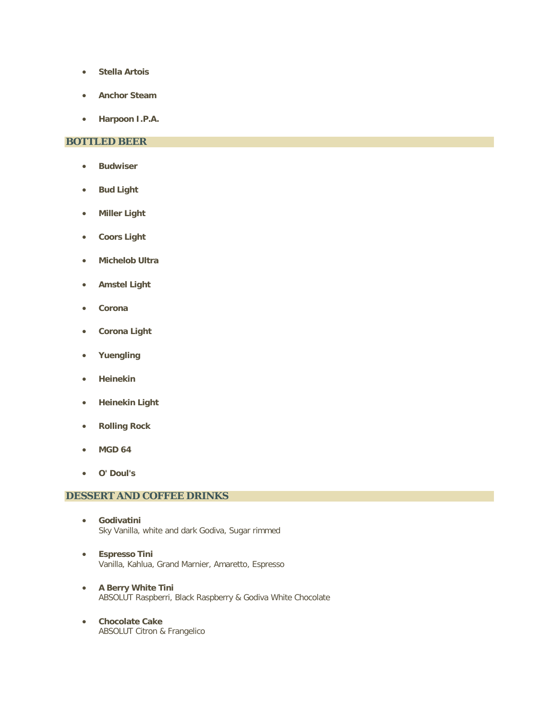- **Stella Artois**
- **Anchor Steam**
- **Harpoon I.P.A.**

# **BOTTLED BEER**

- **Budwiser**
- **Bud Light**
- **Miller Light**
- **Coors Light**
- **Michelob Ultra**
- **Amstel Light**
- **Corona**
- **Corona Light**
- **Yuengling**
- **Heinekin**
- **Heinekin Light**
- **Rolling Rock**
- **MGD 64**
- **O' Doul's**

## **DESSERT AND COFFEE DRINKS**

- **Godivatini** Sky Vanilla, white and dark Godiva, Sugar rimmed
- **Espresso Tini** Vanilla, Kahlua, Grand Marnier, Amaretto, Espresso
- **A Berry White Tini** ABSOLUT Raspberri, Black Raspberry & Godiva White Chocolate
- **Chocolate Cake** ABSOLUT Citron & Frangelico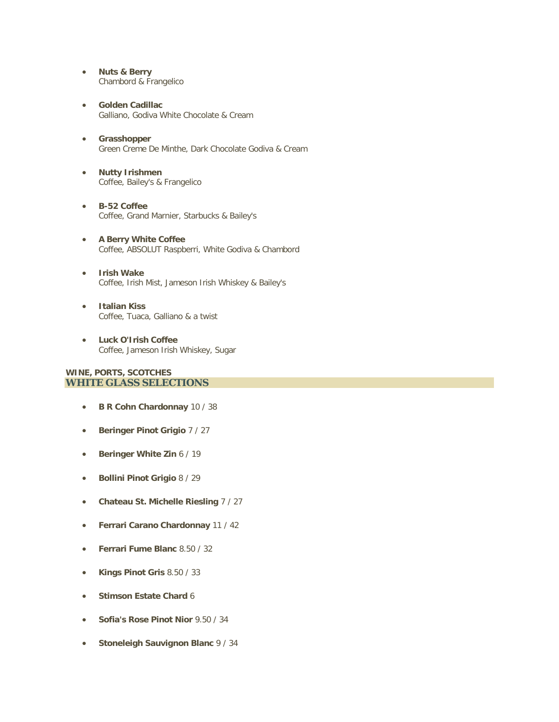- **Nuts & Berry** Chambord & Frangelico
- **Golden Cadillac** Galliano, Godiva White Chocolate & Cream
- **Grasshopper** Green Creme De Minthe, Dark Chocolate Godiva & Cream
- **Nutty Irishmen** Coffee, Bailey's & Frangelico
- **B-52 Coffee** Coffee, Grand Marnier, Starbucks & Bailey's
- **A Berry White Coffee** Coffee, ABSOLUT Raspberri, White Godiva & Chambord
- **Irish Wake** Coffee, Irish Mist, Jameson Irish Whiskey & Bailey's
- **Italian Kiss** Coffee, Tuaca, Galliano & a twist
- **Luck O'Irish Coffee** Coffee, Jameson Irish Whiskey, Sugar

#### **WINE, PORTS, SCOTCHES WHITE GLASS SELECTIONS**

- **B R Cohn Chardonnay** 10 / 38
- **Beringer Pinot Grigio** 7 / 27
- **Beringer White Zin** 6 / 19
- **Bollini Pinot Grigio** 8 / 29
- **Chateau St. Michelle Riesling** 7 / 27
- **Ferrari Carano Chardonnay** 11 / 42
- **Ferrari Fume Blanc** 8.50 / 32
- **Kings Pinot Gris** 8.50 / 33
- **Stimson Estate Chard** 6
- **Sofia's Rose Pinot Nior** 9.50 / 34
- **Stoneleigh Sauvignon Blanc** 9 / 34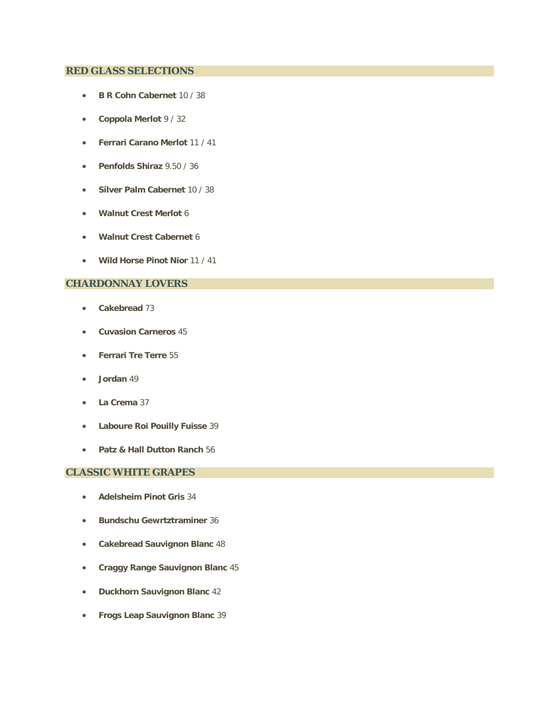## **RED GLASS SELECTIONS**

- **B R Cohn Cabernet** 10 / 38
- **Coppola Merlot** 9 / 32
- **Ferrari Carano Merlot** 11 / 41
- **Penfolds Shiraz** 9.50 / 36
- **Silver Palm Cabernet** 10 / 38
- **Walnut Crest Merlot** 6
- **Walnut Crest Cabernet** 6
- **Wild Horse Pinot Nior** 11 / 41

# **CHARDONNAY LOVERS**

- **Cakebread** 73
- **Cuvasion Carneros** 45
- **Ferrari Tre Terre** 55
- **Jordan** 49
- **La Crema** 37
- **Laboure Roi Pouilly Fuisse** 39
- **Patz & Hall Dutton Ranch** 56

## **CLASSIC WHITE GRAPES**

- **Adelsheim Pinot Gris** 34
- **Bundschu Gewrtztraminer** 36
- **Cakebread Sauvignon Blanc** 48
- **Craggy Range Sauvignon Blanc** 45
- **Duckhorn Sauvignon Blanc** 42
- **Frogs Leap Sauvignon Blanc** 39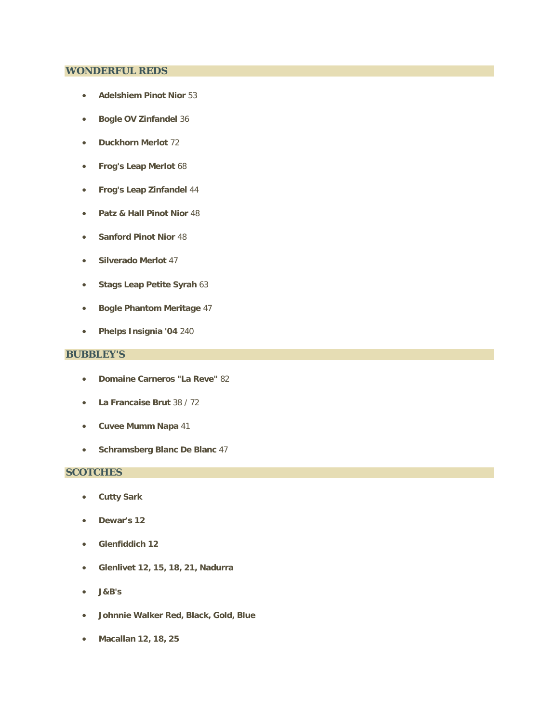#### **WONDERFUL REDS**

- **Adelshiem Pinot Nior** 53
- **Bogle OV Zinfandel** 36
- **Duckhorn Merlot** 72
- **Frog's Leap Merlot** 68
- **Frog's Leap Zinfandel** 44
- **Patz & Hall Pinot Nior** 48
- **Sanford Pinot Nior** 48
- **Silverado Merlot** 47
- **Stags Leap Petite Syrah** 63
- **Bogle Phantom Meritage** 47
- **Phelps Insignia '04** 240

## **BUBBLEY'S**

- **Domaine Carneros "La Reve"** 82
- **La Francaise Brut** 38 / 72
- **Cuvee Mumm Napa** 41
- **Schramsberg Blanc De Blanc** 47

## **SCOTCHES**

- **Cutty Sark**
- **Dewar's 12**
- **Glenfiddich 12**
- **Glenlivet 12, 15, 18, 21, Nadurra**
- **J&B's**
- **Johnnie Walker Red, Black, Gold, Blue**
- **Macallan 12, 18, 25**